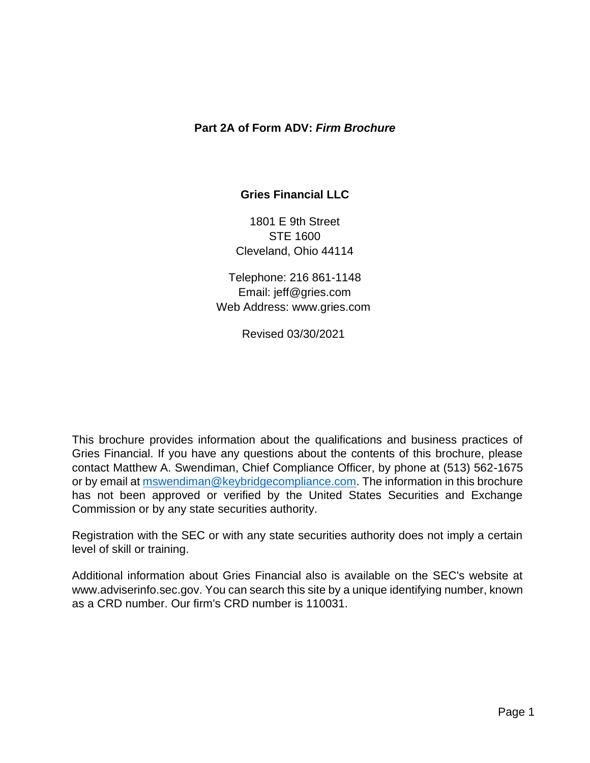#### **Part 2A of Form ADV:** *Firm Brochure*

#### **Gries Financial LLC**

1801 E 9th Street STE 1600 Cleveland, Ohio 44114

Telephone: 216 861-1148 Email: jeff@gries.com Web Address: www.gries.com

Revised 03/30/2021

This brochure provides information about the qualifications and business practices of Gries Financial. If you have any questions about the contents of this brochure, please contact Matthew A. Swendiman, Chief Compliance Officer, by phone at (513) 562-1675 or by email at [mswendiman@keybridgecompliance.com.](mailto:mswendiman@keybridgecompliance.com) The information in this brochure has not been approved or verified by the United States Securities and Exchange Commission or by any state securities authority.

Registration with the SEC or with any state securities authority does not imply a certain level of skill or training.

<span id="page-0-0"></span>Additional information about Gries Financial also is available on the SEC's website at www.adviserinfo.sec.gov. You can search this site by a unique identifying number, known as a CRD number. Our firm's CRD number is 110031.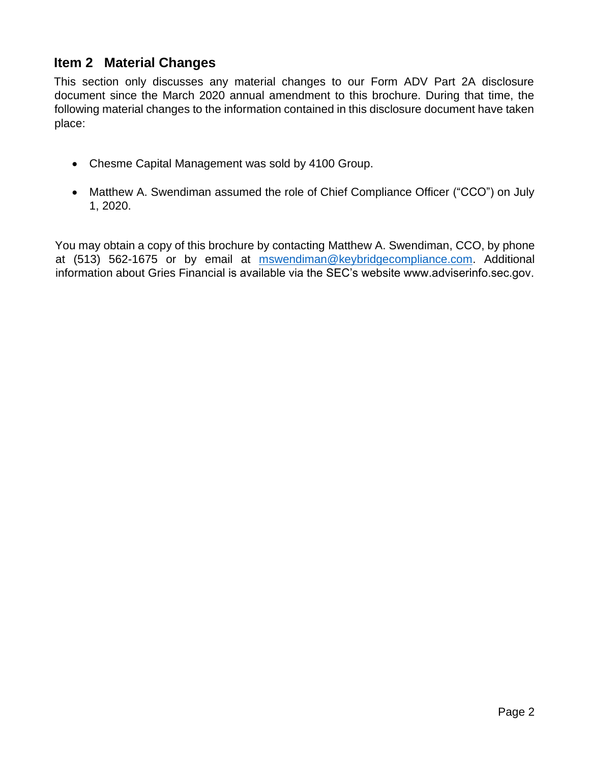## **Item 2 Material Changes**

This section only discusses any material changes to our Form ADV Part 2A disclosure document since the March 2020 annual amendment to this brochure. During that time, the following material changes to the information contained in this disclosure document have taken place:

- Chesme Capital Management was sold by 4100 Group.
- Matthew A. Swendiman assumed the role of Chief Compliance Officer ("CCO") on July 1, 2020.

You may obtain a copy of this brochure by contacting Matthew A. Swendiman, CCO, by phone at (513) 562-1675 or by email at [mswendiman@keybridgecompliance.com.](mailto:mswendiman@keybridgecompliance.com) Additional information about Gries Financial is available via the SEC's website www.adviserinfo.sec.gov.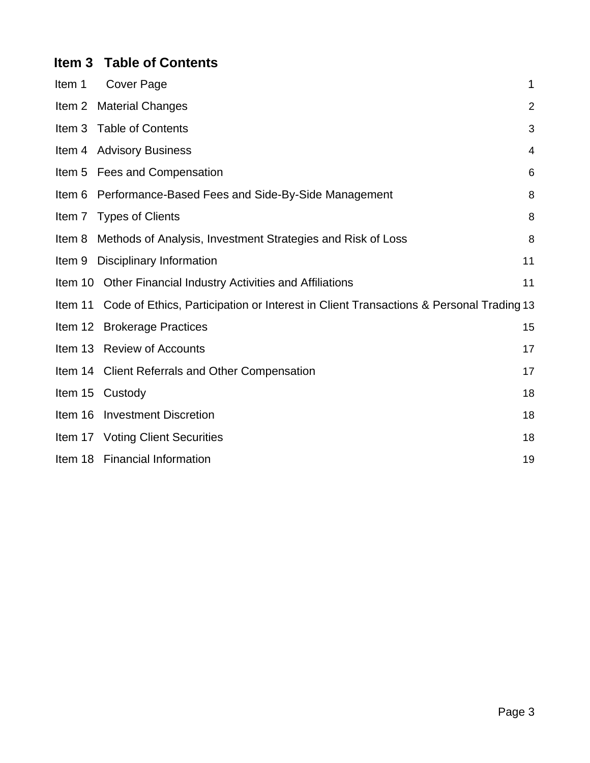# <span id="page-2-0"></span>**Item 3 Table of Contents**

<span id="page-2-1"></span>

| Item 1 | Cover Page                                                                                     | 1              |
|--------|------------------------------------------------------------------------------------------------|----------------|
|        | Item 2 Material Changes                                                                        | $\overline{2}$ |
| Item 3 | <b>Table of Contents</b>                                                                       | 3              |
|        | Item 4 Advisory Business                                                                       | 4              |
|        | Item 5 Fees and Compensation                                                                   | 6              |
| Item 6 | Performance-Based Fees and Side-By-Side Management                                             | 8              |
|        | Item 7 Types of Clients                                                                        | 8              |
| Item 8 | Methods of Analysis, Investment Strategies and Risk of Loss                                    | 8              |
| Item 9 | <b>Disciplinary Information</b>                                                                | 11             |
|        | Item 10 Other Financial Industry Activities and Affiliations                                   | 11             |
|        | Item 11 Code of Ethics, Participation or Interest in Client Transactions & Personal Trading 13 |                |
|        | Item 12 Brokerage Practices                                                                    | 15             |
|        | Item 13 Review of Accounts                                                                     | 17             |
|        | Item 14 Client Referrals and Other Compensation                                                | 17             |
|        | Item 15 Custody                                                                                | 18             |
|        | Item 16 Investment Discretion                                                                  | 18             |
|        | Item 17 Voting Client Securities                                                               | 18             |
|        | Item 18 Financial Information                                                                  | 19             |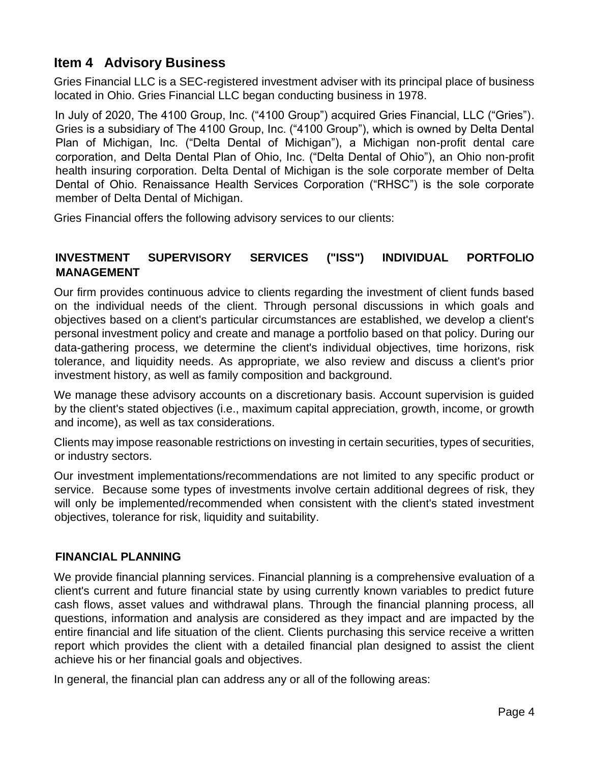# **Item 4 Advisory Business**

Gries Financial LLC is a SEC-registered investment adviser with its principal place of business located in Ohio. Gries Financial LLC began conducting business in 1978.

In July of 2020, The 4100 Group, Inc. ("4100 Group") acquired Gries Financial, LLC ("Gries"). Gries is a subsidiary of The 4100 Group, Inc. ("4100 Group"), which is owned by Delta Dental Plan of Michigan, Inc. ("Delta Dental of Michigan"), a Michigan non-profit dental care corporation, and Delta Dental Plan of Ohio, Inc. ("Delta Dental of Ohio"), an Ohio non-profit health insuring corporation. Delta Dental of Michigan is the sole corporate member of Delta Dental of Ohio. Renaissance Health Services Corporation ("RHSC") is the sole corporate member of Delta Dental of Michigan.

Gries Financial offers the following advisory services to our clients:

### **INVESTMENT SUPERVISORY SERVICES ("ISS") INDIVIDUAL PORTFOLIO MANAGEMENT**

Our firm provides continuous advice to clients regarding the investment of client funds based on the individual needs of the client. Through personal discussions in which goals and objectives based on a client's particular circumstances are established, we develop a client's personal investment policy and create and manage a portfolio based on that policy. During our data-gathering process, we determine the client's individual objectives, time horizons, risk tolerance, and liquidity needs. As appropriate, we also review and discuss a client's prior investment history, as well as family composition and background.

We manage these advisory accounts on a discretionary basis. Account supervision is guided by the client's stated objectives (i.e., maximum capital appreciation, growth, income, or growth and income), as well as tax considerations.

Clients may impose reasonable restrictions on investing in certain securities, types of securities, or industry sectors.

Our investment implementations/recommendations are not limited to any specific product or service. Because some types of investments involve certain additional degrees of risk, they will only be implemented/recommended when consistent with the client's stated investment objectives, tolerance for risk, liquidity and suitability.

#### **FINANCIAL PLANNING**

We provide financial planning services. Financial planning is a comprehensive evaluation of a client's current and future financial state by using currently known variables to predict future cash flows, asset values and withdrawal plans. Through the financial planning process, all questions, information and analysis are considered as they impact and are impacted by the entire financial and life situation of the client. Clients purchasing this service receive a written report which provides the client with a detailed financial plan designed to assist the client achieve his or her financial goals and objectives.

In general, the financial plan can address any or all of the following areas: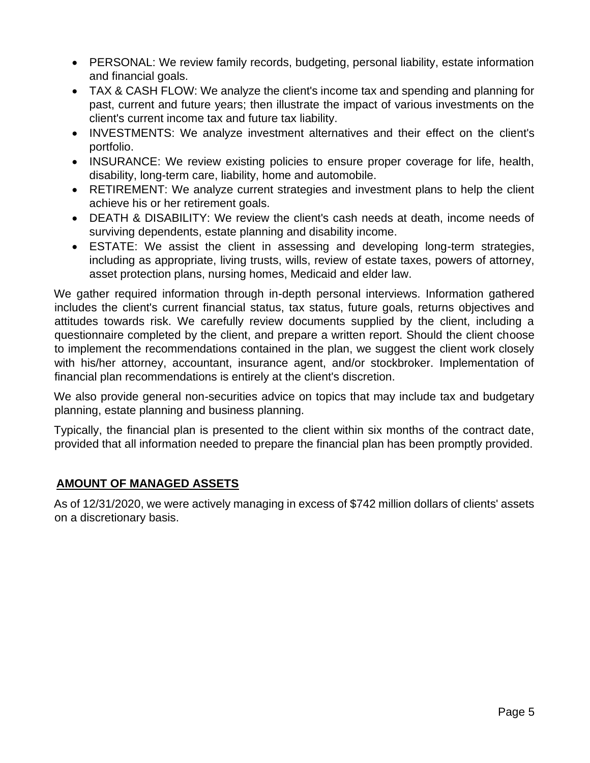- PERSONAL: We review family records, budgeting, personal liability, estate information and financial goals.
- TAX & CASH FLOW: We analyze the client's income tax and spending and planning for past, current and future years; then illustrate the impact of various investments on the client's current income tax and future tax liability.
- INVESTMENTS: We analyze investment alternatives and their effect on the client's portfolio.
- INSURANCE: We review existing policies to ensure proper coverage for life, health, disability, long-term care, liability, home and automobile.
- RETIREMENT: We analyze current strategies and investment plans to help the client achieve his or her retirement goals.
- DEATH & DISABILITY: We review the client's cash needs at death, income needs of surviving dependents, estate planning and disability income.
- ESTATE: We assist the client in assessing and developing long-term strategies, including as appropriate, living trusts, wills, review of estate taxes, powers of attorney, asset protection plans, nursing homes, Medicaid and elder law.

We gather required information through in-depth personal interviews. Information gathered includes the client's current financial status, tax status, future goals, returns objectives and attitudes towards risk. We carefully review documents supplied by the client, including a questionnaire completed by the client, and prepare a written report. Should the client choose to implement the recommendations contained in the plan, we suggest the client work closely with his/her attorney, accountant, insurance agent, and/or stockbroker. Implementation of financial plan recommendations is entirely at the client's discretion.

We also provide general non-securities advice on topics that may include tax and budgetary planning, estate planning and business planning.

Typically, the financial plan is presented to the client within six months of the contract date, provided that all information needed to prepare the financial plan has been promptly provided.

#### **AMOUNT OF MANAGED ASSETS**

As of 12/31/2020, we were actively managing in excess of \$742 million dollars of clients' assets on a discretionary basis.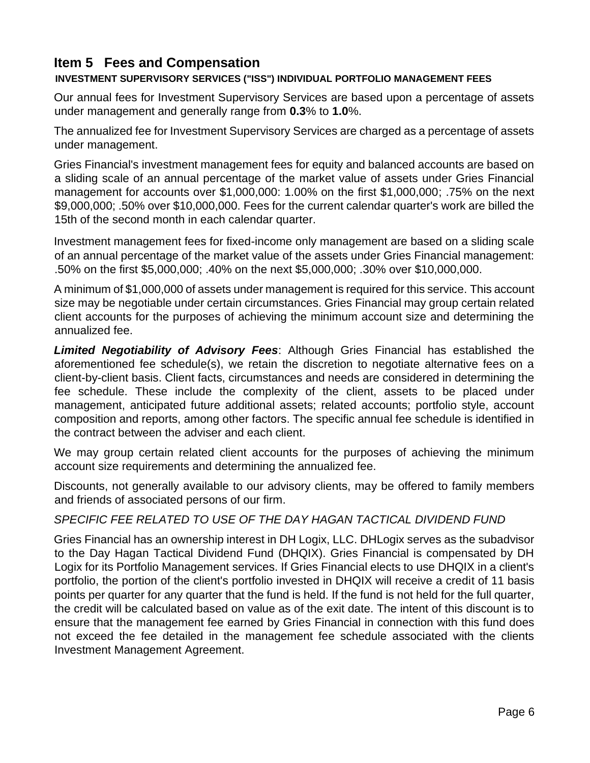# <span id="page-5-0"></span>**Item 5 Fees and Compensation**

#### **INVESTMENT SUPERVISORY SERVICES ("ISS") INDIVIDUAL PORTFOLIO MANAGEMENT FEES**

Our annual fees for Investment Supervisory Services are based upon a percentage of assets under management and generally range from **0.3**% to **1.0**%.

The annualized fee for Investment Supervisory Services are charged as a percentage of assets under management.

Gries Financial's investment management fees for equity and balanced accounts are based on a sliding scale of an annual percentage of the market value of assets under Gries Financial management for accounts over \$1,000,000: 1.00% on the first \$1,000,000; .75% on the next \$9,000,000; .50% over \$10,000,000. Fees for the current calendar quarter's work are billed the 15th of the second month in each calendar quarter.

Investment management fees for fixed-income only management are based on a sliding scale of an annual percentage of the market value of the assets under Gries Financial management: .50% on the first \$5,000,000; .40% on the next \$5,000,000; .30% over \$10,000,000.

A minimum of \$1,000,000 of assets under management is required for this service. This account size may be negotiable under certain circumstances. Gries Financial may group certain related client accounts for the purposes of achieving the minimum account size and determining the annualized fee.

*Limited Negotiability of Advisory Fees*: Although Gries Financial has established the aforementioned fee schedule(s), we retain the discretion to negotiate alternative fees on a client-by-client basis. Client facts, circumstances and needs are considered in determining the fee schedule. These include the complexity of the client, assets to be placed under management, anticipated future additional assets; related accounts; portfolio style, account composition and reports, among other factors. The specific annual fee schedule is identified in the contract between the adviser and each client.

We may group certain related client accounts for the purposes of achieving the minimum account size requirements and determining the annualized fee.

Discounts, not generally available to our advisory clients, may be offered to family members and friends of associated persons of our firm.

#### *SPECIFIC FEE RELATED TO USE OF THE DAY HAGAN TACTICAL DIVIDEND FUND*

Gries Financial has an ownership interest in DH Logix, LLC. DHLogix serves as the subadvisor to the Day Hagan Tactical Dividend Fund (DHQIX). Gries Financial is compensated by DH Logix for its Portfolio Management services. If Gries Financial elects to use DHQIX in a client's portfolio, the portion of the client's portfolio invested in DHQIX will receive a credit of 11 basis points per quarter for any quarter that the fund is held. If the fund is not held for the full quarter, the credit will be calculated based on value as of the exit date. The intent of this discount is to ensure that the management fee earned by Gries Financial in connection with this fund does not exceed the fee detailed in the management fee schedule associated with the clients Investment Management Agreement.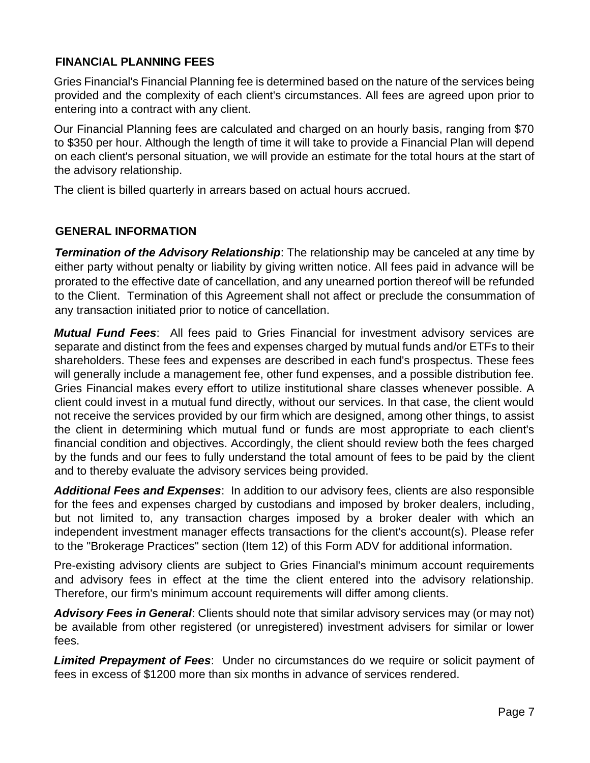#### **FINANCIAL PLANNING FEES**

Gries Financial's Financial Planning fee is determined based on the nature of the services being provided and the complexity of each client's circumstances. All fees are agreed upon prior to entering into a contract with any client.

Our Financial Planning fees are calculated and charged on an hourly basis, ranging from \$70 to \$350 per hour. Although the length of time it will take to provide a Financial Plan will depend on each client's personal situation, we will provide an estimate for the total hours at the start of the advisory relationship.

The client is billed quarterly in arrears based on actual hours accrued.

#### **GENERAL INFORMATION**

*Termination of the Advisory Relationship*: The relationship may be canceled at any time by either party without penalty or liability by giving written notice. All fees paid in advance will be prorated to the effective date of cancellation, and any unearned portion thereof will be refunded to the Client. Termination of this Agreement shall not affect or preclude the consummation of any transaction initiated prior to notice of cancellation.

*Mutual Fund Fees*: All fees paid to Gries Financial for investment advisory services are separate and distinct from the fees and expenses charged by mutual funds and/or ETFs to their shareholders. These fees and expenses are described in each fund's prospectus. These fees will generally include a management fee, other fund expenses, and a possible distribution fee. Gries Financial makes every effort to utilize institutional share classes whenever possible. A client could invest in a mutual fund directly, without our services. In that case, the client would not receive the services provided by our firm which are designed, among other things, to assist the client in determining which mutual fund or funds are most appropriate to each client's financial condition and objectives. Accordingly, the client should review both the fees charged by the funds and our fees to fully understand the total amount of fees to be paid by the client and to thereby evaluate the advisory services being provided.

*Additional Fees and Expenses*: In addition to our advisory fees, clients are also responsible for the fees and expenses charged by custodians and imposed by broker dealers, including, but not limited to, any transaction charges imposed by a broker dealer with which an independent investment manager effects transactions for the client's account(s). Please refer to the "Brokerage Practices" section (Item 12) of this Form ADV for additional information.

Pre-existing advisory clients are subject to Gries Financial's minimum account requirements and advisory fees in effect at the time the client entered into the advisory relationship. Therefore, our firm's minimum account requirements will differ among clients.

*Advisory Fees in General*: Clients should note that similar advisory services may (or may not) be available from other registered (or unregistered) investment advisers for similar or lower fees.

*Limited Prepayment of Fees*: Under no circumstances do we require or solicit payment of fees in excess of \$1200 more than six months in advance of services rendered.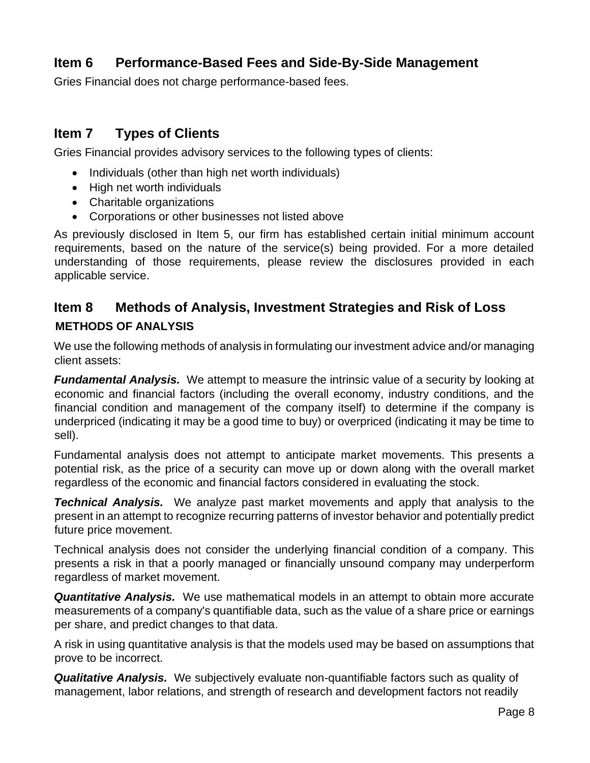## <span id="page-7-0"></span>**Item 6 Performance-Based Fees and Side-By-Side Management**

Gries Financial does not charge performance-based fees.

### <span id="page-7-1"></span>**Item 7 Types of Clients**

Gries Financial provides advisory services to the following types of clients:

- Individuals (other than high net worth individuals)
- High net worth individuals
- Charitable organizations
- Corporations or other businesses not listed above

As previously disclosed in Item 5, our firm has established certain initial minimum account requirements, based on the nature of the service(s) being provided. For a more detailed understanding of those requirements, please review the disclosures provided in each applicable service.

## <span id="page-7-2"></span>**Item 8 Methods of Analysis, Investment Strategies and Risk of Loss METHODS OF ANALYSIS**

We use the following methods of analysis in formulating our investment advice and/or managing client assets:

*Fundamental Analysis.* We attempt to measure the intrinsic value of a security by looking at economic and financial factors (including the overall economy, industry conditions, and the financial condition and management of the company itself) to determine if the company is underpriced (indicating it may be a good time to buy) or overpriced (indicating it may be time to sell).

Fundamental analysis does not attempt to anticipate market movements. This presents a potential risk, as the price of a security can move up or down along with the overall market regardless of the economic and financial factors considered in evaluating the stock.

*Technical Analysis.* We analyze past market movements and apply that analysis to the present in an attempt to recognize recurring patterns of investor behavior and potentially predict future price movement.

Technical analysis does not consider the underlying financial condition of a company. This presents a risk in that a poorly managed or financially unsound company may underperform regardless of market movement.

*Quantitative Analysis.* We use mathematical models in an attempt to obtain more accurate measurements of a company's quantifiable data, such as the value of a share price or earnings per share, and predict changes to that data.

A risk in using quantitative analysis is that the models used may be based on assumptions that prove to be incorrect.

*Qualitative Analysis.* We subjectively evaluate non-quantifiable factors such as quality of management, labor relations, and strength of research and development factors not readily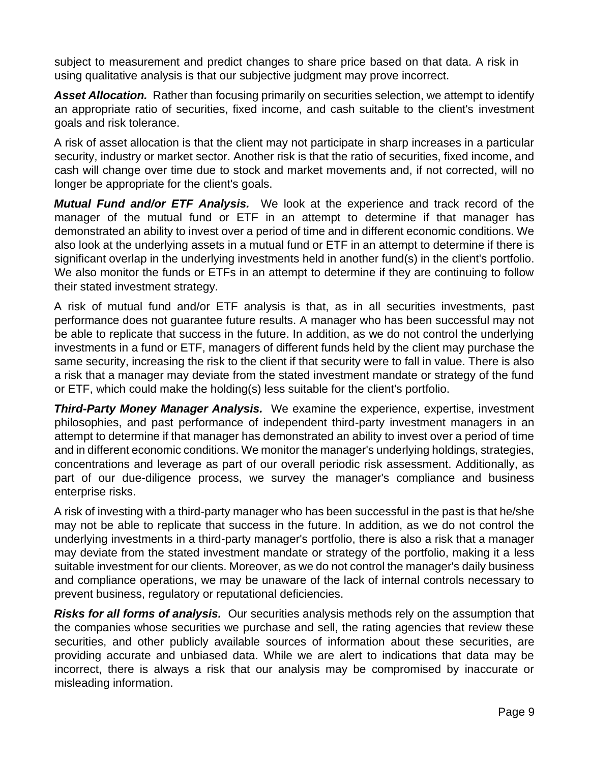subject to measurement and predict changes to share price based on that data. A risk in using qualitative analysis is that our subjective judgment may prove incorrect.

*Asset Allocation.* Rather than focusing primarily on securities selection, we attempt to identify an appropriate ratio of securities, fixed income, and cash suitable to the client's investment goals and risk tolerance.

A risk of asset allocation is that the client may not participate in sharp increases in a particular security, industry or market sector. Another risk is that the ratio of securities, fixed income, and cash will change over time due to stock and market movements and, if not corrected, will no longer be appropriate for the client's goals.

*Mutual Fund and/or ETF Analysis.* We look at the experience and track record of the manager of the mutual fund or ETF in an attempt to determine if that manager has demonstrated an ability to invest over a period of time and in different economic conditions. We also look at the underlying assets in a mutual fund or ETF in an attempt to determine if there is significant overlap in the underlying investments held in another fund(s) in the client's portfolio. We also monitor the funds or ETFs in an attempt to determine if they are continuing to follow their stated investment strategy.

A risk of mutual fund and/or ETF analysis is that, as in all securities investments, past performance does not guarantee future results. A manager who has been successful may not be able to replicate that success in the future. In addition, as we do not control the underlying investments in a fund or ETF, managers of different funds held by the client may purchase the same security, increasing the risk to the client if that security were to fall in value. There is also a risk that a manager may deviate from the stated investment mandate or strategy of the fund or ETF, which could make the holding(s) less suitable for the client's portfolio.

*Third-Party Money Manager Analysis.* We examine the experience, expertise, investment philosophies, and past performance of independent third-party investment managers in an attempt to determine if that manager has demonstrated an ability to invest over a period of time and in different economic conditions. We monitor the manager's underlying holdings, strategies, concentrations and leverage as part of our overall periodic risk assessment. Additionally, as part of our due-diligence process, we survey the manager's compliance and business enterprise risks.

A risk of investing with a third-party manager who has been successful in the past is that he/she may not be able to replicate that success in the future. In addition, as we do not control the underlying investments in a third-party manager's portfolio, there is also a risk that a manager may deviate from the stated investment mandate or strategy of the portfolio, making it a less suitable investment for our clients. Moreover, as we do not control the manager's daily business and compliance operations, we may be unaware of the lack of internal controls necessary to prevent business, regulatory or reputational deficiencies.

*Risks for all forms of analysis.* Our securities analysis methods rely on the assumption that the companies whose securities we purchase and sell, the rating agencies that review these securities, and other publicly available sources of information about these securities, are providing accurate and unbiased data. While we are alert to indications that data may be incorrect, there is always a risk that our analysis may be compromised by inaccurate or misleading information.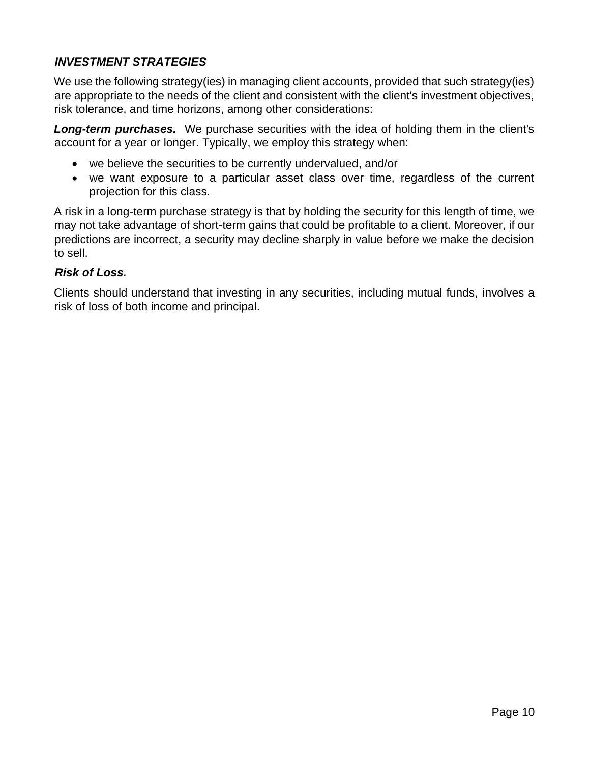### *INVESTMENT STRATEGIES*

We use the following strategy(ies) in managing client accounts, provided that such strategy(ies) are appropriate to the needs of the client and consistent with the client's investment objectives, risk tolerance, and time horizons, among other considerations:

*Long-term purchases.* We purchase securities with the idea of holding them in the client's account for a year or longer. Typically, we employ this strategy when:

- we believe the securities to be currently undervalued, and/or
- we want exposure to a particular asset class over time, regardless of the current projection for this class.

A risk in a long-term purchase strategy is that by holding the security for this length of time, we may not take advantage of short-term gains that could be profitable to a client. Moreover, if our predictions are incorrect, a security may decline sharply in value before we make the decision to sell.

#### *Risk of Loss.*

Clients should understand that investing in any securities, including mutual funds, involves a risk of loss of both income and principal.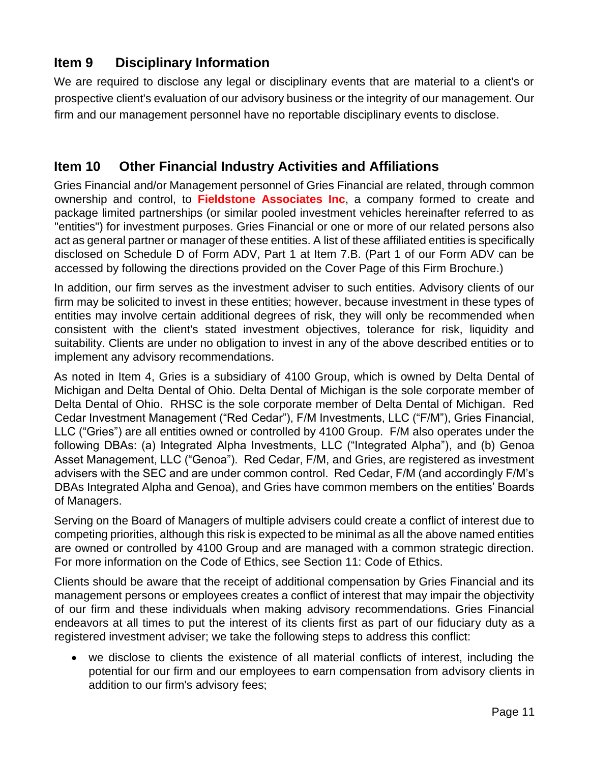# <span id="page-10-0"></span>**Item 9 Disciplinary Information**

We are required to disclose any legal or disciplinary events that are material to a client's or prospective client's evaluation of our advisory business or the integrity of our management. Our firm and our management personnel have no reportable disciplinary events to disclose.

## <span id="page-10-1"></span>**Item 10 Other Financial Industry Activities and Affiliations**

Gries Financial and/or Management personnel of Gries Financial are related, through common ownership and control, to **Fieldstone Associates Inc**, a company formed to create and package limited partnerships (or similar pooled investment vehicles hereinafter referred to as "entities") for investment purposes. Gries Financial or one or more of our related persons also act as general partner or manager of these entities. A list of these affiliated entities is specifically disclosed on Schedule D of Form ADV, Part 1 at Item 7.B. (Part 1 of our Form ADV can be accessed by following the directions provided on the Cover Page of this Firm Brochure.)

In addition, our firm serves as the investment adviser to such entities. Advisory clients of our firm may be solicited to invest in these entities; however, because investment in these types of entities may involve certain additional degrees of risk, they will only be recommended when consistent with the client's stated investment objectives, tolerance for risk, liquidity and suitability. Clients are under no obligation to invest in any of the above described entities or to implement any advisory recommendations.

As noted in Item 4, Gries is a subsidiary of 4100 Group, which is owned by Delta Dental of Michigan and Delta Dental of Ohio. Delta Dental of Michigan is the sole corporate member of Delta Dental of Ohio. RHSC is the sole corporate member of Delta Dental of Michigan. Red Cedar Investment Management ("Red Cedar"), F/M Investments, LLC ("F/M"), Gries Financial, LLC ("Gries") are all entities owned or controlled by 4100 Group. F/M also operates under the following DBAs: (a) Integrated Alpha Investments, LLC ("Integrated Alpha"), and (b) Genoa Asset Management, LLC ("Genoa"). Red Cedar, F/M, and Gries, are registered as investment advisers with the SEC and are under common control. Red Cedar, F/M (and accordingly F/M's DBAs Integrated Alpha and Genoa), and Gries have common members on the entities' Boards of Managers.

Serving on the Board of Managers of multiple advisers could create a conflict of interest due to competing priorities, although this risk is expected to be minimal as all the above named entities are owned or controlled by 4100 Group and are managed with a common strategic direction. For more information on the Code of Ethics, see Section 11: Code of Ethics.

Clients should be aware that the receipt of additional compensation by Gries Financial and its management persons or employees creates a conflict of interest that may impair the objectivity of our firm and these individuals when making advisory recommendations. Gries Financial endeavors at all times to put the interest of its clients first as part of our fiduciary duty as a registered investment adviser; we take the following steps to address this conflict:

• we disclose to clients the existence of all material conflicts of interest, including the potential for our firm and our employees to earn compensation from advisory clients in addition to our firm's advisory fees;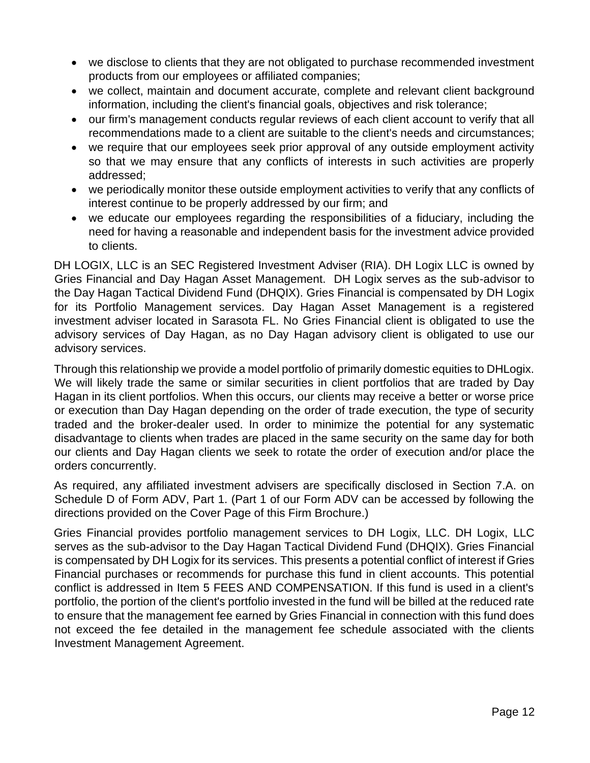- we disclose to clients that they are not obligated to purchase recommended investment products from our employees or affiliated companies;
- we collect, maintain and document accurate, complete and relevant client background information, including the client's financial goals, objectives and risk tolerance;
- our firm's management conducts regular reviews of each client account to verify that all recommendations made to a client are suitable to the client's needs and circumstances;
- we require that our employees seek prior approval of any outside employment activity so that we may ensure that any conflicts of interests in such activities are properly addressed;
- we periodically monitor these outside employment activities to verify that any conflicts of interest continue to be properly addressed by our firm; and
- we educate our employees regarding the responsibilities of a fiduciary, including the need for having a reasonable and independent basis for the investment advice provided to clients.

DH LOGIX, LLC is an SEC Registered Investment Adviser (RIA). DH Logix LLC is owned by Gries Financial and Day Hagan Asset Management. DH Logix serves as the sub-advisor to the Day Hagan Tactical Dividend Fund (DHQIX). Gries Financial is compensated by DH Logix for its Portfolio Management services. Day Hagan Asset Management is a registered investment adviser located in Sarasota FL. No Gries Financial client is obligated to use the advisory services of Day Hagan, as no Day Hagan advisory client is obligated to use our advisory services.

Through this relationship we provide a model portfolio of primarily domestic equities to DHLogix. We will likely trade the same or similar securities in client portfolios that are traded by Day Hagan in its client portfolios. When this occurs, our clients may receive a better or worse price or execution than Day Hagan depending on the order of trade execution, the type of security traded and the broker-dealer used. In order to minimize the potential for any systematic disadvantage to clients when trades are placed in the same security on the same day for both our clients and Day Hagan clients we seek to rotate the order of execution and/or place the orders concurrently.

As required, any affiliated investment advisers are specifically disclosed in Section 7.A. on Schedule D of Form ADV, Part 1. (Part 1 of our Form ADV can be accessed by following the directions provided on the Cover Page of this Firm Brochure.)

Gries Financial provides portfolio management services to DH Logix, LLC. DH Logix, LLC serves as the sub-advisor to the Day Hagan Tactical Dividend Fund (DHQIX). Gries Financial is compensated by DH Logix for its services. This presents a potential conflict of interest if Gries Financial purchases or recommends for purchase this fund in client accounts. This potential conflict is addressed in Item 5 FEES AND COMPENSATION. If this fund is used in a client's portfolio, the portion of the client's portfolio invested in the fund will be billed at the reduced rate to ensure that the management fee earned by Gries Financial in connection with this fund does not exceed the fee detailed in the management fee schedule associated with the clients Investment Management Agreement.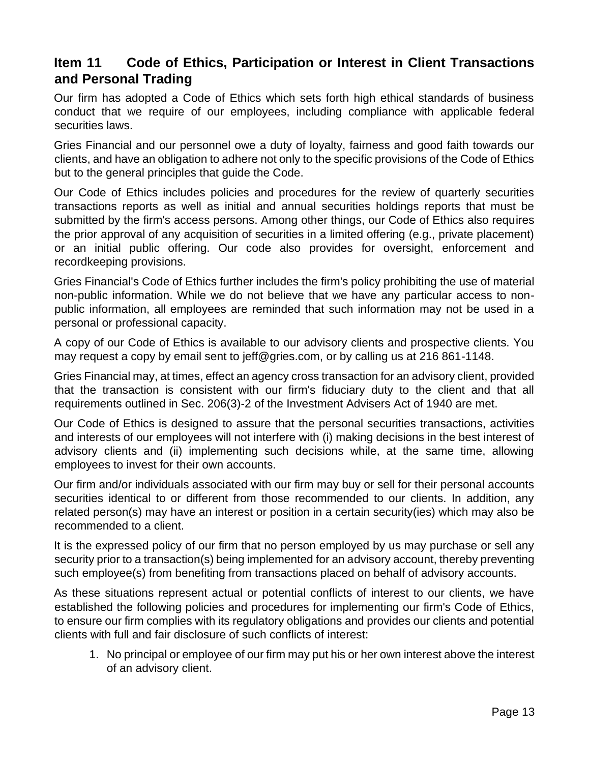# <span id="page-12-0"></span>**Item 11 Code of Ethics, Participation or Interest in Client Transactions and Personal Trading**

Our firm has adopted a Code of Ethics which sets forth high ethical standards of business conduct that we require of our employees, including compliance with applicable federal securities laws.

Gries Financial and our personnel owe a duty of loyalty, fairness and good faith towards our clients, and have an obligation to adhere not only to the specific provisions of the Code of Ethics but to the general principles that guide the Code.

Our Code of Ethics includes policies and procedures for the review of quarterly securities transactions reports as well as initial and annual securities holdings reports that must be submitted by the firm's access persons. Among other things, our Code of Ethics also requires the prior approval of any acquisition of securities in a limited offering (e.g., private placement) or an initial public offering. Our code also provides for oversight, enforcement and recordkeeping provisions.

Gries Financial's Code of Ethics further includes the firm's policy prohibiting the use of material non-public information. While we do not believe that we have any particular access to nonpublic information, all employees are reminded that such information may not be used in a personal or professional capacity.

A copy of our Code of Ethics is available to our advisory clients and prospective clients. You may request a copy by email sent to jeff@gries.com, or by calling us at 216 861-1148.

Gries Financial may, at times, effect an agency cross transaction for an advisory client, provided that the transaction is consistent with our firm's fiduciary duty to the client and that all requirements outlined in Sec. 206(3)-2 of the Investment Advisers Act of 1940 are met.

Our Code of Ethics is designed to assure that the personal securities transactions, activities and interests of our employees will not interfere with (i) making decisions in the best interest of advisory clients and (ii) implementing such decisions while, at the same time, allowing employees to invest for their own accounts.

Our firm and/or individuals associated with our firm may buy or sell for their personal accounts securities identical to or different from those recommended to our clients. In addition, any related person(s) may have an interest or position in a certain security(ies) which may also be recommended to a client.

It is the expressed policy of our firm that no person employed by us may purchase or sell any security prior to a transaction(s) being implemented for an advisory account, thereby preventing such employee(s) from benefiting from transactions placed on behalf of advisory accounts.

As these situations represent actual or potential conflicts of interest to our clients, we have established the following policies and procedures for implementing our firm's Code of Ethics, to ensure our firm complies with its regulatory obligations and provides our clients and potential clients with full and fair disclosure of such conflicts of interest:

1. No principal or employee of our firm may put his or her own interest above the interest of an advisory client.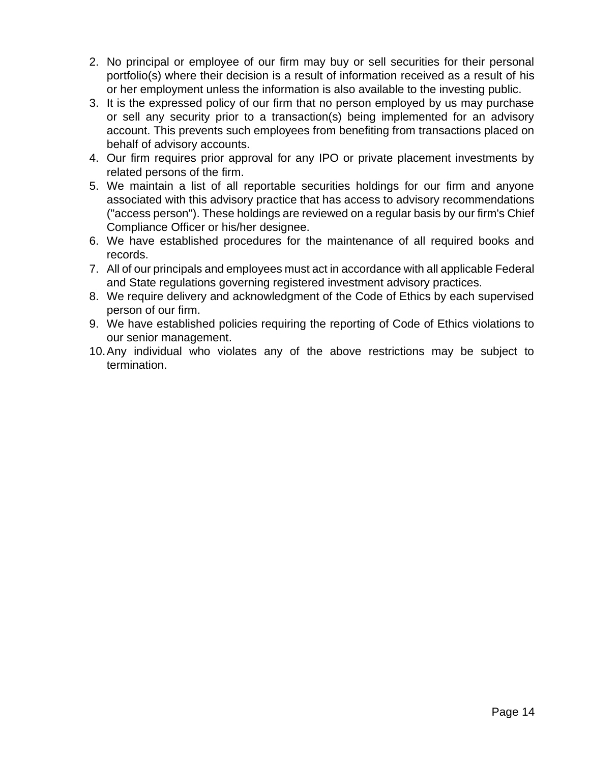- 2. No principal or employee of our firm may buy or sell securities for their personal portfolio(s) where their decision is a result of information received as a result of his or her employment unless the information is also available to the investing public.
- 3. It is the expressed policy of our firm that no person employed by us may purchase or sell any security prior to a transaction(s) being implemented for an advisory account. This prevents such employees from benefiting from transactions placed on behalf of advisory accounts.
- 4. Our firm requires prior approval for any IPO or private placement investments by related persons of the firm.
- 5. We maintain a list of all reportable securities holdings for our firm and anyone associated with this advisory practice that has access to advisory recommendations ("access person"). These holdings are reviewed on a regular basis by our firm's Chief Compliance Officer or his/her designee.
- 6. We have established procedures for the maintenance of all required books and records.
- 7. All of our principals and employees must act in accordance with all applicable Federal and State regulations governing registered investment advisory practices.
- 8. We require delivery and acknowledgment of the Code of Ethics by each supervised person of our firm.
- 9. We have established policies requiring the reporting of Code of Ethics violations to our senior management.
- 10.Any individual who violates any of the above restrictions may be subject to termination.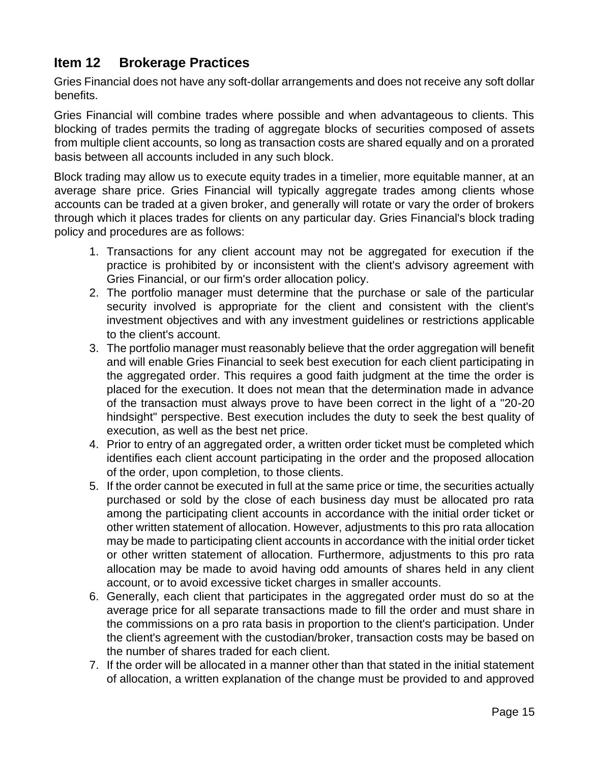# <span id="page-14-0"></span>**Item 12 Brokerage Practices**

Gries Financial does not have any soft-dollar arrangements and does not receive any soft dollar benefits.

Gries Financial will combine trades where possible and when advantageous to clients. This blocking of trades permits the trading of aggregate blocks of securities composed of assets from multiple client accounts, so long as transaction costs are shared equally and on a prorated basis between all accounts included in any such block.

Block trading may allow us to execute equity trades in a timelier, more equitable manner, at an average share price. Gries Financial will typically aggregate trades among clients whose accounts can be traded at a given broker, and generally will rotate or vary the order of brokers through which it places trades for clients on any particular day. Gries Financial's block trading policy and procedures are as follows:

- 1. Transactions for any client account may not be aggregated for execution if the practice is prohibited by or inconsistent with the client's advisory agreement with Gries Financial, or our firm's order allocation policy.
- 2. The portfolio manager must determine that the purchase or sale of the particular security involved is appropriate for the client and consistent with the client's investment objectives and with any investment guidelines or restrictions applicable to the client's account.
- 3. The portfolio manager must reasonably believe that the order aggregation will benefit and will enable Gries Financial to seek best execution for each client participating in the aggregated order. This requires a good faith judgment at the time the order is placed for the execution. It does not mean that the determination made in advance of the transaction must always prove to have been correct in the light of a "20-20 hindsight" perspective. Best execution includes the duty to seek the best quality of execution, as well as the best net price.
- 4. Prior to entry of an aggregated order, a written order ticket must be completed which identifies each client account participating in the order and the proposed allocation of the order, upon completion, to those clients.
- 5. If the order cannot be executed in full at the same price or time, the securities actually purchased or sold by the close of each business day must be allocated pro rata among the participating client accounts in accordance with the initial order ticket or other written statement of allocation. However, adjustments to this pro rata allocation may be made to participating client accounts in accordance with the initial order ticket or other written statement of allocation. Furthermore, adjustments to this pro rata allocation may be made to avoid having odd amounts of shares held in any client account, or to avoid excessive ticket charges in smaller accounts.
- 6. Generally, each client that participates in the aggregated order must do so at the average price for all separate transactions made to fill the order and must share in the commissions on a pro rata basis in proportion to the client's participation. Under the client's agreement with the custodian/broker, transaction costs may be based on the number of shares traded for each client.
- 7. If the order will be allocated in a manner other than that stated in the initial statement of allocation, a written explanation of the change must be provided to and approved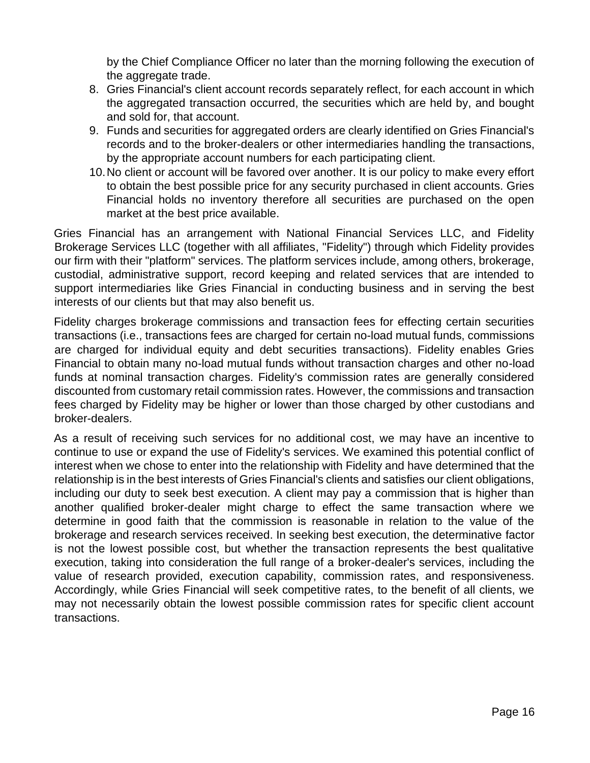by the Chief Compliance Officer no later than the morning following the execution of the aggregate trade.

- 8. Gries Financial's client account records separately reflect, for each account in which the aggregated transaction occurred, the securities which are held by, and bought and sold for, that account.
- 9. Funds and securities for aggregated orders are clearly identified on Gries Financial's records and to the broker-dealers or other intermediaries handling the transactions, by the appropriate account numbers for each participating client.
- 10.No client or account will be favored over another. It is our policy to make every effort to obtain the best possible price for any security purchased in client accounts. Gries Financial holds no inventory therefore all securities are purchased on the open market at the best price available.

Gries Financial has an arrangement with National Financial Services LLC, and Fidelity Brokerage Services LLC (together with all affiliates, "Fidelity") through which Fidelity provides our firm with their "platform" services. The platform services include, among others, brokerage, custodial, administrative support, record keeping and related services that are intended to support intermediaries like Gries Financial in conducting business and in serving the best interests of our clients but that may also benefit us.

Fidelity charges brokerage commissions and transaction fees for effecting certain securities transactions (i.e., transactions fees are charged for certain no-load mutual funds, commissions are charged for individual equity and debt securities transactions). Fidelity enables Gries Financial to obtain many no-load mutual funds without transaction charges and other no-load funds at nominal transaction charges. Fidelity's commission rates are generally considered discounted from customary retail commission rates. However, the commissions and transaction fees charged by Fidelity may be higher or lower than those charged by other custodians and broker-dealers.

As a result of receiving such services for no additional cost, we may have an incentive to continue to use or expand the use of Fidelity's services. We examined this potential conflict of interest when we chose to enter into the relationship with Fidelity and have determined that the relationship is in the best interests of Gries Financial's clients and satisfies our client obligations, including our duty to seek best execution. A client may pay a commission that is higher than another qualified broker-dealer might charge to effect the same transaction where we determine in good faith that the commission is reasonable in relation to the value of the brokerage and research services received. In seeking best execution, the determinative factor is not the lowest possible cost, but whether the transaction represents the best qualitative execution, taking into consideration the full range of a broker-dealer's services, including the value of research provided, execution capability, commission rates, and responsiveness. Accordingly, while Gries Financial will seek competitive rates, to the benefit of all clients, we may not necessarily obtain the lowest possible commission rates for specific client account transactions.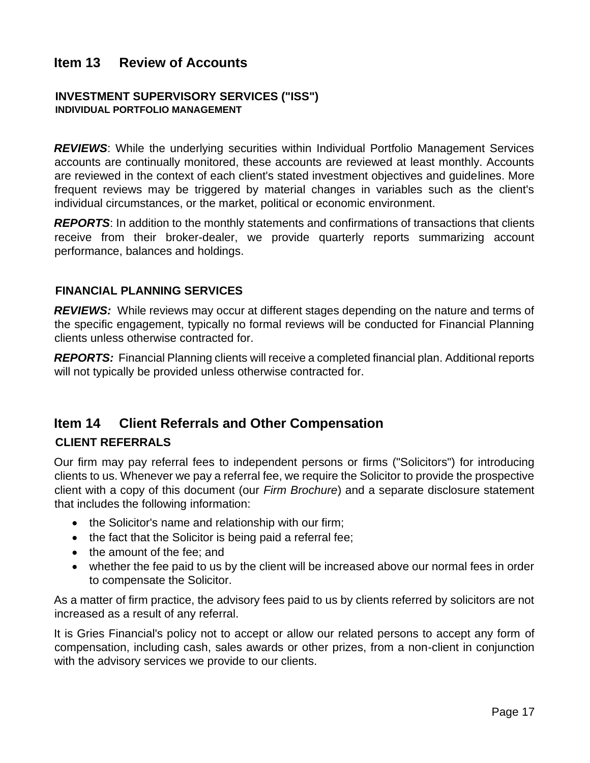## <span id="page-16-0"></span>**Item 13 Review of Accounts**

#### **INVESTMENT SUPERVISORY SERVICES ("ISS") INDIVIDUAL PORTFOLIO MANAGEMENT**

**REVIEWS:** While the underlying securities within Individual Portfolio Management Services accounts are continually monitored, these accounts are reviewed at least monthly. Accounts are reviewed in the context of each client's stated investment objectives and guidelines. More frequent reviews may be triggered by material changes in variables such as the client's individual circumstances, or the market, political or economic environment.

*REPORTS*: In addition to the monthly statements and confirmations of transactions that clients receive from their broker-dealer, we provide quarterly reports summarizing account performance, balances and holdings.

#### **FINANCIAL PLANNING SERVICES**

**REVIEWS:** While reviews may occur at different stages depending on the nature and terms of the specific engagement, typically no formal reviews will be conducted for Financial Planning clients unless otherwise contracted for.

*REPORTS:* Financial Planning clients will receive a completed financial plan. Additional reports will not typically be provided unless otherwise contracted for.

### <span id="page-16-1"></span>**Item 14 Client Referrals and Other Compensation**

#### **CLIENT REFERRALS**

Our firm may pay referral fees to independent persons or firms ("Solicitors") for introducing clients to us. Whenever we pay a referral fee, we require the Solicitor to provide the prospective client with a copy of this document (our *Firm Brochure*) and a separate disclosure statement that includes the following information:

- the Solicitor's name and relationship with our firm;
- the fact that the Solicitor is being paid a referral fee;
- the amount of the fee; and
- whether the fee paid to us by the client will be increased above our normal fees in order to compensate the Solicitor.

As a matter of firm practice, the advisory fees paid to us by clients referred by solicitors are not increased as a result of any referral.

It is Gries Financial's policy not to accept or allow our related persons to accept any form of compensation, including cash, sales awards or other prizes, from a non-client in conjunction with the advisory services we provide to our clients.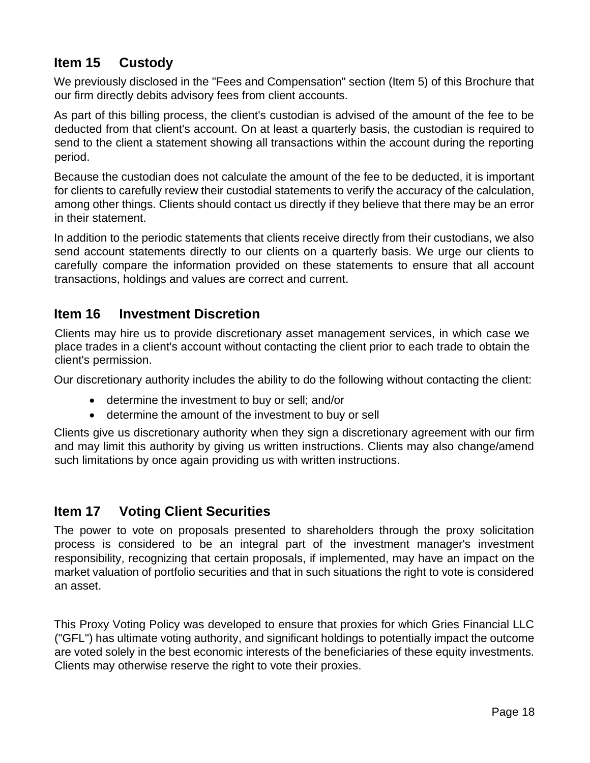# <span id="page-17-0"></span>**Item 15 Custody**

We previously disclosed in the "Fees and Compensation" section (Item 5) of this Brochure that our firm directly debits advisory fees from client accounts.

As part of this billing process, the client's custodian is advised of the amount of the fee to be deducted from that client's account. On at least a quarterly basis, the custodian is required to send to the client a statement showing all transactions within the account during the reporting period.

Because the custodian does not calculate the amount of the fee to be deducted, it is important for clients to carefully review their custodial statements to verify the accuracy of the calculation, among other things. Clients should contact us directly if they believe that there may be an error in their statement.

In addition to the periodic statements that clients receive directly from their custodians, we also send account statements directly to our clients on a quarterly basis. We urge our clients to carefully compare the information provided on these statements to ensure that all account transactions, holdings and values are correct and current.

## <span id="page-17-1"></span>**Item 16 Investment Discretion**

Clients may hire us to provide discretionary asset management services, in which case we place trades in a client's account without contacting the client prior to each trade to obtain the client's permission.

Our discretionary authority includes the ability to do the following without contacting the client:

- determine the investment to buy or sell; and/or
- determine the amount of the investment to buy or sell

Clients give us discretionary authority when they sign a discretionary agreement with our firm and may limit this authority by giving us written instructions. Clients may also change/amend such limitations by once again providing us with written instructions.

### <span id="page-17-2"></span>**Item 17 Voting Client Securities**

The power to vote on proposals presented to shareholders through the proxy solicitation process is considered to be an integral part of the investment manager's investment responsibility, recognizing that certain proposals, if implemented, may have an impact on the market valuation of portfolio securities and that in such situations the right to vote is considered an asset.

This Proxy Voting Policy was developed to ensure that proxies for which Gries Financial LLC ("GFL") has ultimate voting authority, and significant holdings to potentially impact the outcome are voted solely in the best economic interests of the beneficiaries of these equity investments. Clients may otherwise reserve the right to vote their proxies.